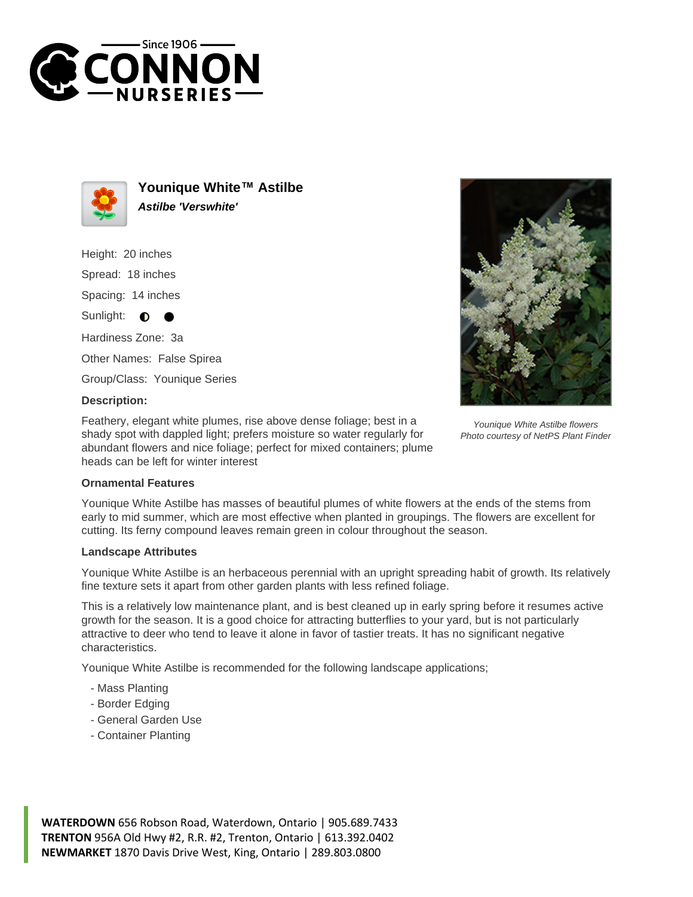



**Younique White™ Astilbe Astilbe 'Verswhite'**

Height: 20 inches Spread: 18 inches Spacing: 14 inches Sunlight: **O** Hardiness Zone: 3a Other Names: False Spirea Group/Class: Younique Series

## **Description:**

Feathery, elegant white plumes, rise above dense foliage; best in a shady spot with dappled light; prefers moisture so water regularly for abundant flowers and nice foliage; perfect for mixed containers; plume heads can be left for winter interest



Younique White Astilbe flowers Photo courtesy of NetPS Plant Finder

## **Ornamental Features**

Younique White Astilbe has masses of beautiful plumes of white flowers at the ends of the stems from early to mid summer, which are most effective when planted in groupings. The flowers are excellent for cutting. Its ferny compound leaves remain green in colour throughout the season.

## **Landscape Attributes**

Younique White Astilbe is an herbaceous perennial with an upright spreading habit of growth. Its relatively fine texture sets it apart from other garden plants with less refined foliage.

This is a relatively low maintenance plant, and is best cleaned up in early spring before it resumes active growth for the season. It is a good choice for attracting butterflies to your yard, but is not particularly attractive to deer who tend to leave it alone in favor of tastier treats. It has no significant negative characteristics.

Younique White Astilbe is recommended for the following landscape applications;

- Mass Planting
- Border Edging
- General Garden Use
- Container Planting

**WATERDOWN** 656 Robson Road, Waterdown, Ontario | 905.689.7433 **TRENTON** 956A Old Hwy #2, R.R. #2, Trenton, Ontario | 613.392.0402 **NEWMARKET** 1870 Davis Drive West, King, Ontario | 289.803.0800